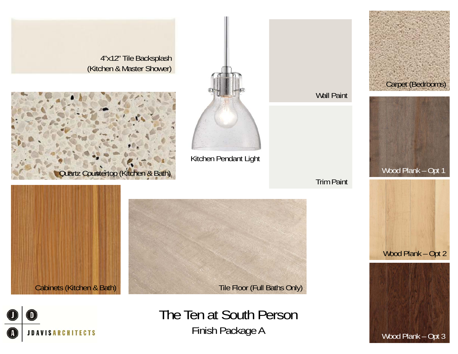

**JDAVISARCHITECTS** 

Finish Package A Wood Plank – Opt 3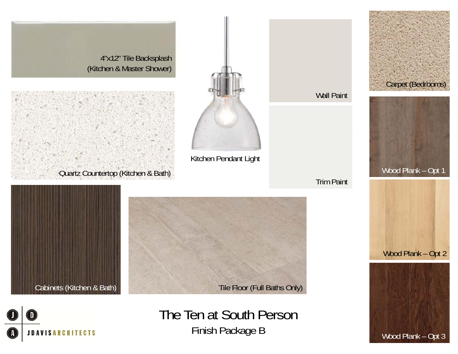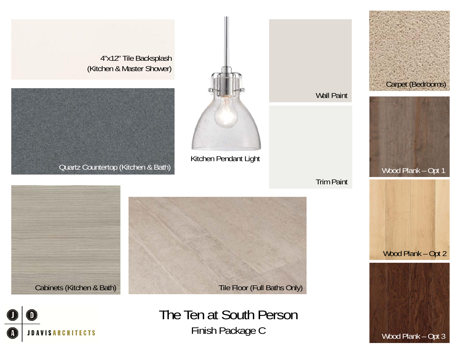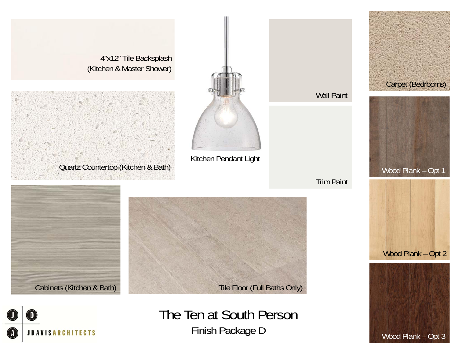